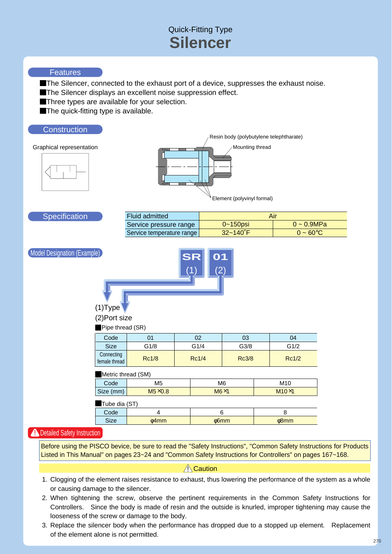# Quick-Fitting Type **Silencer**

## **Features**

The Silencer, connected to the exhaust port of a device, suppresses the exhaust noise.

The Silencer displays an excellent noise suppression effect.

Three types are available for your selection.

The quick-fitting type is available.

## **Construction**

Graphical representation



Element (polyvinyl formal)

| <b>Fluid admitted</b>     | Air                  |                       |  |  |  |
|---------------------------|----------------------|-----------------------|--|--|--|
| Service pressure range    | $0 - 150$ psi        | $0 \sim 0.9$ MPa      |  |  |  |
| Service temperature range | $32 - 140^{\circ}$ F | $0 \sim 60^{\circ}$ C |  |  |  |

Model Designation (Example)

**Specification** 



(1)Type (2)Port size

**Pipe thread (SR)** 

| 01<br>G1/8                    |  | 02             | 03    |                 | 04           |  |  |  |  |
|-------------------------------|--|----------------|-------|-----------------|--------------|--|--|--|--|
|                               |  | G3/8<br>G1/4   |       |                 | G1/2         |  |  |  |  |
| <b>Rc1/8</b><br>female thread |  |                |       |                 | Rc1/2        |  |  |  |  |
| Metric thread (SM)            |  |                |       |                 |              |  |  |  |  |
| M <sub>5</sub>                |  | M <sub>6</sub> |       | M <sub>10</sub> |              |  |  |  |  |
| $M5\times0.8$                 |  | $M6\times1$    |       |                 | $M10\times1$ |  |  |  |  |
|                               |  |                | Rc1/4 |                 | <b>Rc3/8</b> |  |  |  |  |

Tube dia (ST)

| Code        |       |         |            |
|-------------|-------|---------|------------|
| <b>Size</b> | o4mm⊹ | $66$ mm | $\phi$ 8mm |
|             |       |         |            |

# **A** Detailed Safety Instruction

Before using the PISCO bevice, be sure to read the "Safety Instructions", "Common Safety Instructions for Products Listed in This Manual" on pages 23~24 and "Common Safety Instructions for Controllers" on pages 167~168.

## $\sqrt{ }$  Caution

- 1. Clogging of the element raises resistance to exhaust, thus lowering the performance of the system as a whole or causing damage to the silencer.
- 2. When tightening the screw, observe the pertinent requirements in the Common Safety Instructions for Controllers. Since the body is made of resin and the outside is knurled, improper tightening may cause the looseness of the screw or damage to the body.
- 3. Replace the silencer body when the performance has dropped due to a stopped up element. Replacement of the element alone is not permitted.